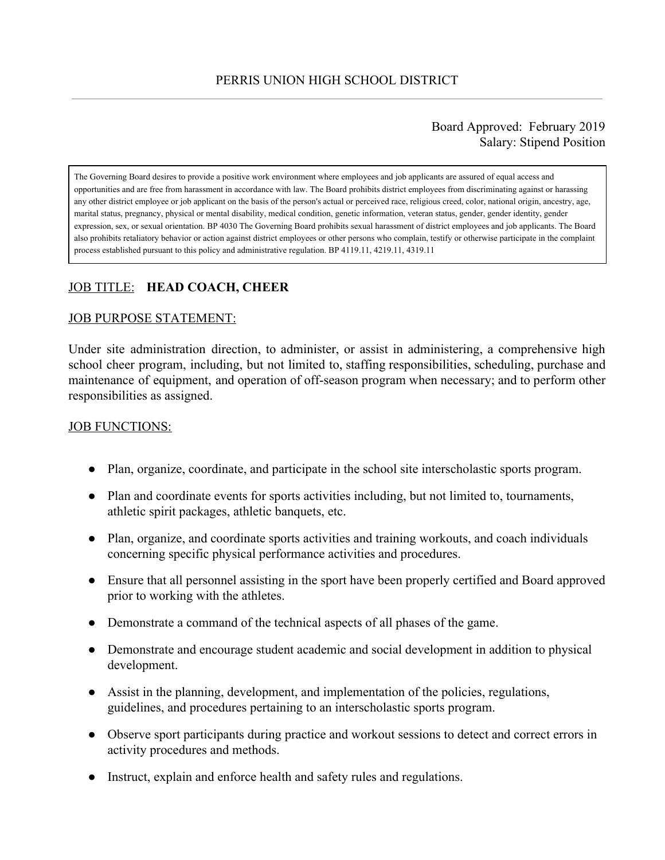Board Approved: February 2019 Salary: Stipend Position

The Governing Board desires to provide a positive work environment where employees and job applicants are assured of equal access and opportunities and are free from harassment in accordance with law. The Board prohibits district employees from discriminating against or harassing any other district employee or job applicant on the basis of the person's actual or perceived race, religious creed, color, national origin, ancestry, age, marital status, pregnancy, physical or mental disability, medical condition, genetic information, veteran status, gender, gender identity, gender expression, sex, or sexual orientation. BP 4030 The Governing Board prohibits sexual harassment of district employees and job applicants. The Board also prohibits retaliatory behavior or action against district employees or other persons who complain, testify or otherwise participate in the complaint process established pursuant to this policy and administrative regulation. BP 4119.11, 4219.11, 4319.11

# JOB TITLE: **HEAD COACH, CHEER**

#### JOB PURPOSE STATEMENT:

Under site administration direction, to administer, or assist in administering, a comprehensive high school cheer program, including, but not limited to, staffing responsibilities, scheduling, purchase and maintenance of equipment, and operation of off-season program when necessary; and to perform other responsibilities as assigned.

### JOB FUNCTIONS:

- Plan, organize, coordinate, and participate in the school site interscholastic sports program.
- Plan and coordinate events for sports activities including, but not limited to, tournaments, athletic spirit packages, athletic banquets, etc.
- Plan, organize, and coordinate sports activities and training workouts, and coach individuals concerning specific physical performance activities and procedures.
- Ensure that all personnel assisting in the sport have been properly certified and Board approved prior to working with the athletes.
- Demonstrate a command of the technical aspects of all phases of the game.
- Demonstrate and encourage student academic and social development in addition to physical development.
- Assist in the planning, development, and implementation of the policies, regulations, guidelines, and procedures pertaining to an interscholastic sports program.
- Observe sport participants during practice and workout sessions to detect and correct errors in activity procedures and methods.
- Instruct, explain and enforce health and safety rules and regulations.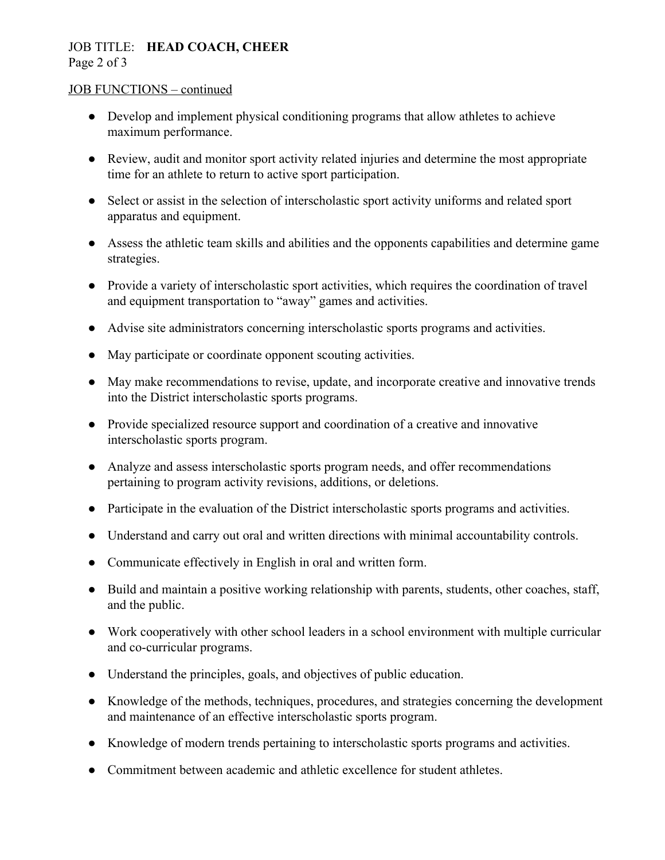## JOB TITLE: **HEAD COACH, CHEER** Page 2 of 3

### JOB FUNCTIONS – continued

- Develop and implement physical conditioning programs that allow athletes to achieve maximum performance.
- Review, audit and monitor sport activity related injuries and determine the most appropriate time for an athlete to return to active sport participation.
- Select or assist in the selection of interscholastic sport activity uniforms and related sport apparatus and equipment.
- Assess the athletic team skills and abilities and the opponents capabilities and determine game strategies.
- Provide a variety of interscholastic sport activities, which requires the coordination of travel and equipment transportation to "away" games and activities.
- Advise site administrators concerning interscholastic sports programs and activities.
- May participate or coordinate opponent scouting activities.
- May make recommendations to revise, update, and incorporate creative and innovative trends into the District interscholastic sports programs.
- Provide specialized resource support and coordination of a creative and innovative interscholastic sports program.
- Analyze and assess interscholastic sports program needs, and offer recommendations pertaining to program activity revisions, additions, or deletions.
- Participate in the evaluation of the District interscholastic sports programs and activities.
- Understand and carry out oral and written directions with minimal accountability controls.
- Communicate effectively in English in oral and written form.
- Build and maintain a positive working relationship with parents, students, other coaches, staff, and the public.
- Work cooperatively with other school leaders in a school environment with multiple curricular and co-curricular programs.
- Understand the principles, goals, and objectives of public education.
- Knowledge of the methods, techniques, procedures, and strategies concerning the development and maintenance of an effective interscholastic sports program.
- Knowledge of modern trends pertaining to interscholastic sports programs and activities.
- Commitment between academic and athletic excellence for student athletes.